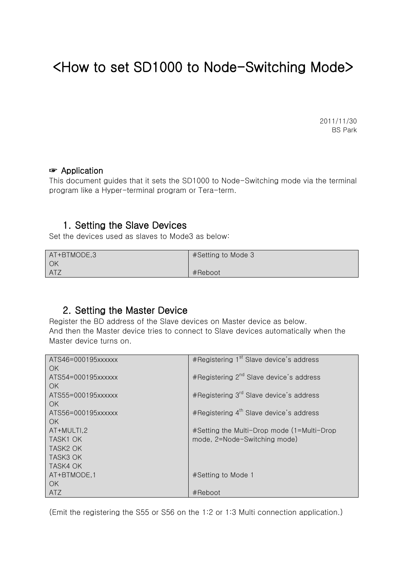# <How to set SD1000 to Node-Switching Mode>

2011/11/30 BS Park

#### ☞ Application

This document guides that it sets the SD1000 to Node-Switching mode via the terminal program like a Hyper-terminal program or Tera-term.

### 1. Setting the Slave Devices

Set the devices used as slaves to Mode3 as below:

| AT+BTMODE,3 | #Setting to Mode 3 |
|-------------|--------------------|
| OK          |                    |
| <b>ATZ</b>  | #Reboot            |

### 2. Setting the Master Device

Register the BD address of the Slave devices on Master device as below. And then the Master device tries to connect to Slave devices automatically when the Master device turns on.

| ATS46=000195xxxxxx   | #Registering 1 <sup>st</sup> Slave device's address |
|----------------------|-----------------------------------------------------|
| OK.                  |                                                     |
| ATS54=000195xxxxxx   | #Registering 2 <sup>nd</sup> Slave device's address |
| OK.                  |                                                     |
| ATS55=000195xxxxxx   | #Registering 3 <sup>rd</sup> Slave device's address |
| OK.                  |                                                     |
| ATS56=000195xxxxxx   | #Registering $4^{\text{th}}$ Slave device's address |
| OK.                  |                                                     |
| AT+MULTI.2           | #Setting the Multi-Drop mode (1=Multi-Drop          |
| TASK1 OK             | mode, 2=Node-Switching mode)                        |
| TASK <sub>2</sub> OK |                                                     |
| <b>TASK3 OK</b>      |                                                     |
| TASK4 OK             |                                                     |
| AT+BTMODE, 1         | #Setting to Mode 1                                  |
| OK.                  |                                                     |
| ATZ                  | #Reboot                                             |

(Emit the registering the S55 or S56 on the 1:2 or 1:3 Multi connection application.)